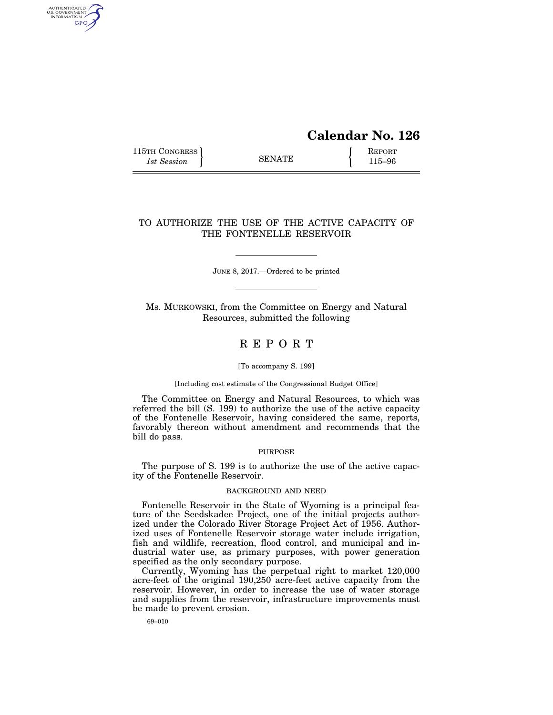# **Calendar No. 126**

115TH CONGRESS REPORT 115 SENATE **REPORT** 

AUTHENTICATED<br>U.S. GOVERNMENT<br>INFORMATION GPO

## TO AUTHORIZE THE USE OF THE ACTIVE CAPACITY OF THE FONTENELLE RESERVOIR

JUNE 8, 2017.—Ordered to be printed

Ms. MURKOWSKI, from the Committee on Energy and Natural Resources, submitted the following

## R E P O R T

#### [To accompany S. 199]

#### [Including cost estimate of the Congressional Budget Office]

The Committee on Energy and Natural Resources, to which was referred the bill (S. 199) to authorize the use of the active capacity of the Fontenelle Reservoir, having considered the same, reports, favorably thereon without amendment and recommends that the bill do pass.

### PURPOSE

The purpose of S. 199 is to authorize the use of the active capacity of the Fontenelle Reservoir.

### BACKGROUND AND NEED

Fontenelle Reservoir in the State of Wyoming is a principal feature of the Seedskadee Project, one of the initial projects authorized under the Colorado River Storage Project Act of 1956. Authorized uses of Fontenelle Reservoir storage water include irrigation, fish and wildlife, recreation, flood control, and municipal and industrial water use, as primary purposes, with power generation specified as the only secondary purpose.

Currently, Wyoming has the perpetual right to market 120,000 acre-feet of the original 190,250 acre-feet active capacity from the reservoir. However, in order to increase the use of water storage and supplies from the reservoir, infrastructure improvements must be made to prevent erosion.

69–010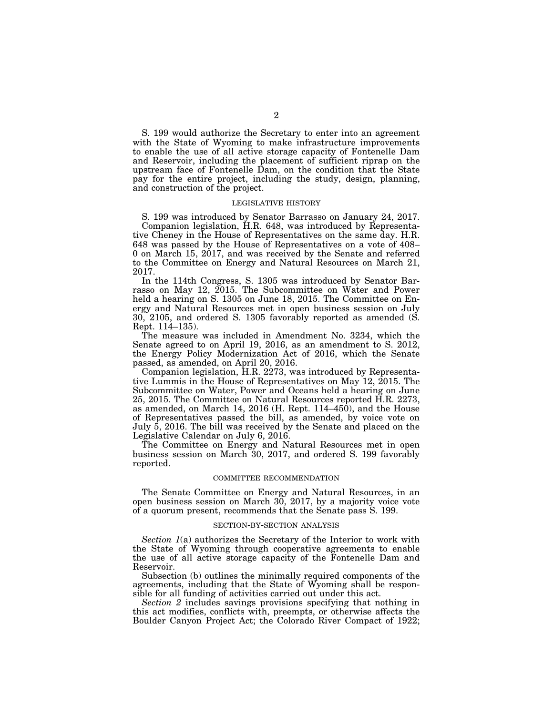S. 199 would authorize the Secretary to enter into an agreement with the State of Wyoming to make infrastructure improvements to enable the use of all active storage capacity of Fontenelle Dam and Reservoir, including the placement of sufficient riprap on the upstream face of Fontenelle Dam, on the condition that the State pay for the entire project, including the study, design, planning, and construction of the project.

#### LEGISLATIVE HISTORY

S. 199 was introduced by Senator Barrasso on January 24, 2017. Companion legislation, H.R. 648, was introduced by Representative Cheney in the House of Representatives on the same day. H.R. 648 was passed by the House of Representatives on a vote of 408– 0 on March 15, 2017, and was received by the Senate and referred to the Committee on Energy and Natural Resources on March 21, 2017.

In the 114th Congress, S. 1305 was introduced by Senator Barrasso on May 12, 2015. The Subcommittee on Water and Power held a hearing on S. 1305 on June 18, 2015. The Committee on Energy and Natural Resources met in open business session on July 30, 2105, and ordered S. 1305 favorably reported as amended (S. Rept. 114–135).

The measure was included in Amendment No. 3234, which the Senate agreed to on April 19, 2016, as an amendment to S. 2012, the Energy Policy Modernization Act of 2016, which the Senate passed, as amended, on April 20, 2016.

Companion legislation, H.R. 2273, was introduced by Representative Lummis in the House of Representatives on May 12, 2015. The Subcommittee on Water, Power and Oceans held a hearing on June 25, 2015. The Committee on Natural Resources reported H.R. 2273, as amended, on March 14, 2016 (H. Rept. 114–450), and the House of Representatives passed the bill, as amended, by voice vote on July 5, 2016. The bill was received by the Senate and placed on the Legislative Calendar on July 6, 2016.

The Committee on Energy and Natural Resources met in open business session on March 30, 2017, and ordered S. 199 favorably reported.

#### COMMITTEE RECOMMENDATION

The Senate Committee on Energy and Natural Resources, in an open business session on March 30, 2017, by a majority voice vote of a quorum present, recommends that the Senate pass S. 199.

#### SECTION-BY-SECTION ANALYSIS

*Section 1*(a) authorizes the Secretary of the Interior to work with the State of Wyoming through cooperative agreements to enable the use of all active storage capacity of the Fontenelle Dam and Reservoir.

Subsection (b) outlines the minimally required components of the agreements, including that the State of Wyoming shall be responsible for all funding of activities carried out under this act.

*Section 2* includes savings provisions specifying that nothing in this act modifies, conflicts with, preempts, or otherwise affects the Boulder Canyon Project Act; the Colorado River Compact of 1922;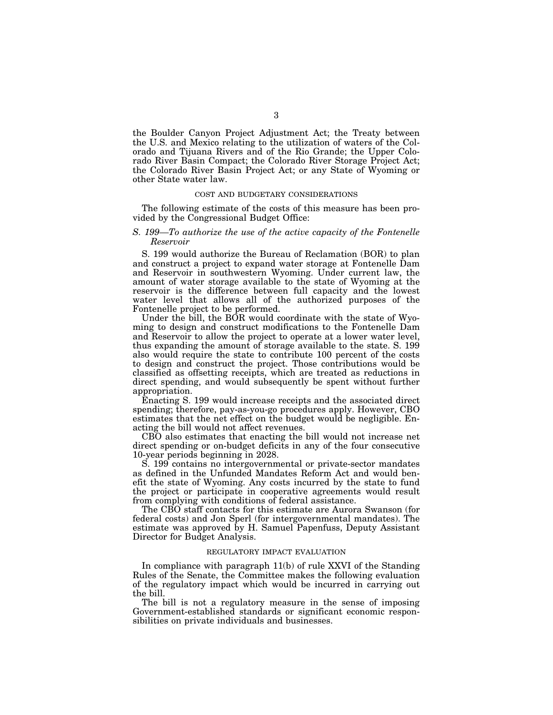the Boulder Canyon Project Adjustment Act; the Treaty between the U.S. and Mexico relating to the utilization of waters of the Colorado and Tijuana Rivers and of the Rio Grande; the Upper Colorado River Basin Compact; the Colorado River Storage Project Act; the Colorado River Basin Project Act; or any State of Wyoming or other State water law.

#### COST AND BUDGETARY CONSIDERATIONS

The following estimate of the costs of this measure has been provided by the Congressional Budget Office:

#### *S. 199—To authorize the use of the active capacity of the Fontenelle Reservoir*

S. 199 would authorize the Bureau of Reclamation (BOR) to plan and construct a project to expand water storage at Fontenelle Dam and Reservoir in southwestern Wyoming. Under current law, the amount of water storage available to the state of Wyoming at the reservoir is the difference between full capacity and the lowest water level that allows all of the authorized purposes of the Fontenelle project to be performed.

Under the bill, the BOR would coordinate with the state of Wyoming to design and construct modifications to the Fontenelle Dam and Reservoir to allow the project to operate at a lower water level, thus expanding the amount of storage available to the state. S. 199 also would require the state to contribute 100 percent of the costs to design and construct the project. Those contributions would be classified as offsetting receipts, which are treated as reductions in direct spending, and would subsequently be spent without further appropriation.

Enacting S. 199 would increase receipts and the associated direct spending; therefore, pay-as-you-go procedures apply. However, CBO estimates that the net effect on the budget would be negligible. Enacting the bill would not affect revenues.

CBO also estimates that enacting the bill would not increase net direct spending or on-budget deficits in any of the four consecutive 10-year periods beginning in 2028.

S. 199 contains no intergovernmental or private-sector mandates as defined in the Unfunded Mandates Reform Act and would benefit the state of Wyoming. Any costs incurred by the state to fund the project or participate in cooperative agreements would result from complying with conditions of federal assistance.

The CBO staff contacts for this estimate are Aurora Swanson (for federal costs) and Jon Sperl (for intergovernmental mandates). The estimate was approved by H. Samuel Papenfuss, Deputy Assistant Director for Budget Analysis.

## REGULATORY IMPACT EVALUATION

In compliance with paragraph 11(b) of rule XXVI of the Standing Rules of the Senate, the Committee makes the following evaluation of the regulatory impact which would be incurred in carrying out the bill.

The bill is not a regulatory measure in the sense of imposing Government-established standards or significant economic responsibilities on private individuals and businesses.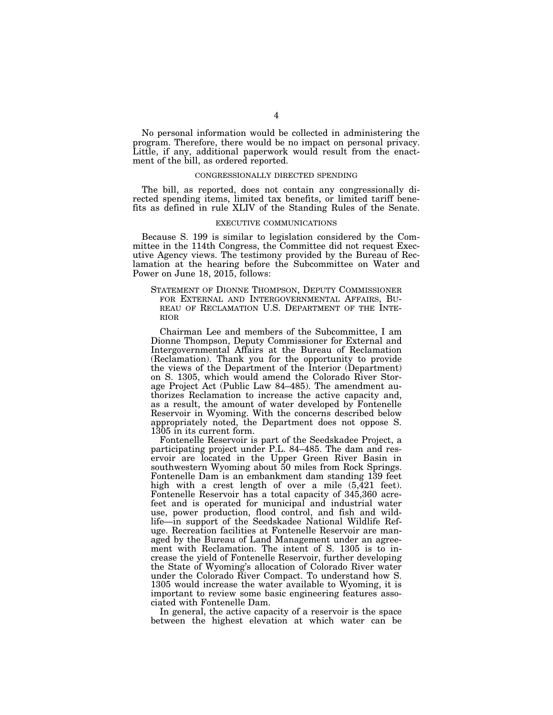No personal information would be collected in administering the program. Therefore, there would be no impact on personal privacy. Little, if any, additional paperwork would result from the enactment of the bill, as ordered reported.

#### CONGRESSIONALLY DIRECTED SPENDING

The bill, as reported, does not contain any congressionally directed spending items, limited tax benefits, or limited tariff benefits as defined in rule XLIV of the Standing Rules of the Senate.

### EXECUTIVE COMMUNICATIONS

Because S. 199 is similar to legislation considered by the Committee in the 114th Congress, the Committee did not request Executive Agency views. The testimony provided by the Bureau of Reclamation at the hearing before the Subcommittee on Water and Power on June 18, 2015, follows:

STATEMENT OF DIONNE THOMPSON, DEPUTY COMMISSIONER FOR EXTERNAL AND INTERGOVERNMENTAL AFFAIRS, BU-REAU OF RECLAMATION U.S. DEPARTMENT OF THE INTE-RIOR

Chairman Lee and members of the Subcommittee, I am Dionne Thompson, Deputy Commissioner for External and Intergovernmental Affairs at the Bureau of Reclamation (Reclamation). Thank you for the opportunity to provide the views of the Department of the Interior (Department) on S. 1305, which would amend the Colorado River Storage Project Act (Public Law 84–485). The amendment authorizes Reclamation to increase the active capacity and, as a result, the amount of water developed by Fontenelle Reservoir in Wyoming. With the concerns described below appropriately noted, the Department does not oppose S. 1305 in its current form.

Fontenelle Reservoir is part of the Seedskadee Project, a participating project under P.L. 84–485. The dam and reservoir are located in the Upper Green River Basin in southwestern Wyoming about 50 miles from Rock Springs. Fontenelle Dam is an embankment dam standing 139 feet high with a crest length of over a mile  $(5,\overline{4}21 \text{ feet})$ . Fontenelle Reservoir has a total capacity of 345,360 acrefeet and is operated for municipal and industrial water use, power production, flood control, and fish and wildlife—in support of the Seedskadee National Wildlife Refuge. Recreation facilities at Fontenelle Reservoir are managed by the Bureau of Land Management under an agreement with Reclamation. The intent of S. 1305 is to increase the yield of Fontenelle Reservoir, further developing the State of Wyoming's allocation of Colorado River water under the Colorado River Compact. To understand how S. 1305 would increase the water available to Wyoming, it is important to review some basic engineering features associated with Fontenelle Dam.

In general, the active capacity of a reservoir is the space between the highest elevation at which water can be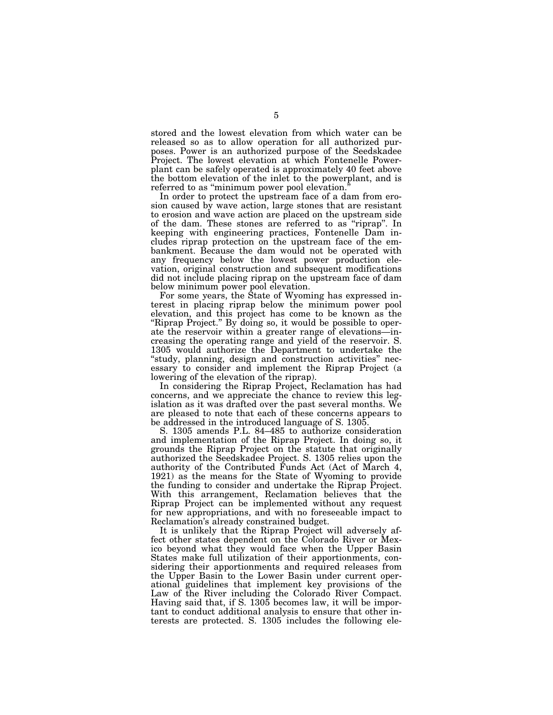stored and the lowest elevation from which water can be released so as to allow operation for all authorized purposes. Power is an authorized purpose of the Seedskadee Project. The lowest elevation at which Fontenelle Powerplant can be safely operated is approximately 40 feet above the bottom elevation of the inlet to the powerplant, and is referred to as ''minimum power pool elevation.''

In order to protect the upstream face of a dam from erosion caused by wave action, large stones that are resistant to erosion and wave action are placed on the upstream side of the dam. These stones are referred to as ''riprap''. In keeping with engineering practices, Fontenelle Dam includes riprap protection on the upstream face of the embankment. Because the dam would not be operated with any frequency below the lowest power production elevation, original construction and subsequent modifications did not include placing riprap on the upstream face of dam below minimum power pool elevation.

For some years, the State of Wyoming has expressed interest in placing riprap below the minimum power pool elevation, and this project has come to be known as the "Riprap Project." By doing so, it would be possible to operate the reservoir within a greater range of elevations—increasing the operating range and yield of the reservoir. S. 1305 would authorize the Department to undertake the "study, planning, design and construction activities" necessary to consider and implement the Riprap Project (a lowering of the elevation of the riprap).

In considering the Riprap Project, Reclamation has had concerns, and we appreciate the chance to review this legislation as it was drafted over the past several months. We are pleased to note that each of these concerns appears to be addressed in the introduced language of S. 1305.

S. 1305 amends P.L. 84–485 to authorize consideration and implementation of the Riprap Project. In doing so, it grounds the Riprap Project on the statute that originally authorized the Seedskadee Project. S. 1305 relies upon the authority of the Contributed Funds Act (Act of March 4, 1921) as the means for the State of Wyoming to provide the funding to consider and undertake the Riprap Project. With this arrangement, Reclamation believes that the Riprap Project can be implemented without any request for new appropriations, and with no foreseeable impact to Reclamation's already constrained budget.

It is unlikely that the Riprap Project will adversely affect other states dependent on the Colorado River or Mexico beyond what they would face when the Upper Basin States make full utilization of their apportionments, considering their apportionments and required releases from the Upper Basin to the Lower Basin under current operational guidelines that implement key provisions of the Law of the River including the Colorado River Compact. Having said that, if S. 1305 becomes law, it will be important to conduct additional analysis to ensure that other interests are protected. S. 1305 includes the following ele-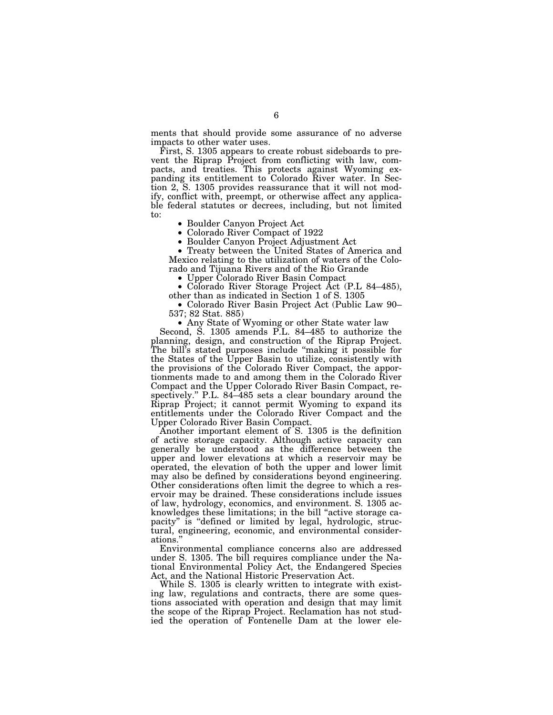ments that should provide some assurance of no adverse impacts to other water uses.

First, S. 1305 appears to create robust sideboards to prevent the Riprap Project from conflicting with law, compacts, and treaties. This protects against Wyoming expanding its entitlement to Colorado River water. In Section 2, S. 1305 provides reassurance that it will not modify, conflict with, preempt, or otherwise affect any applicable federal statutes or decrees, including, but not limited to:

• Boulder Canyon Project Act • Colorado River Compact of 1922 • Boulder Canyon Project Adjustment Act • Treaty between the United States of America and Mexico relating to the utilization of waters of the Colorado and Tijuana Rivers and of the Rio Grande

• Upper Colorado River Basin Compact • Colorado River Storage Project Act (P.L 84–485), other than as indicated in Section 1 of S. 1305

• Colorado River Basin Project Act (Public Law 90– 537; 82 Stat. 885)

• Any State of Wyoming or other State water law

Second, S. 1305 amends P.L. 84–485 to authorize the planning, design, and construction of the Riprap Project. The bill's stated purposes include "making it possible for the States of the Upper Basin to utilize, consistently with the provisions of the Colorado River Compact, the apportionments made to and among them in the Colorado River Compact and the Upper Colorado River Basin Compact, respectively.'' P.L. 84–485 sets a clear boundary around the  $\overline{\text{Riprap}}$  Project; it cannot permit Wyoming to expand its entitlements under the Colorado River Compact and the Upper Colorado River Basin Compact.

Another important element of S. 1305 is the definition of active storage capacity. Although active capacity can generally be understood as the difference between the upper and lower elevations at which a reservoir may be operated, the elevation of both the upper and lower limit may also be defined by considerations beyond engineering. Other considerations often limit the degree to which a reservoir may be drained. These considerations include issues of law, hydrology, economics, and environment. S. 1305 acknowledges these limitations; in the bill ''active storage capacity" is "defined or limited by legal, hydrologic, structural, engineering, economic, and environmental considerations.''

Environmental compliance concerns also are addressed under S. 1305. The bill requires compliance under the National Environmental Policy Act, the Endangered Species Act, and the National Historic Preservation Act.

While S. 1305 is clearly written to integrate with existing law, regulations and contracts, there are some questions associated with operation and design that may limit the scope of the Riprap Project. Reclamation has not studied the operation of Fontenelle Dam at the lower ele-